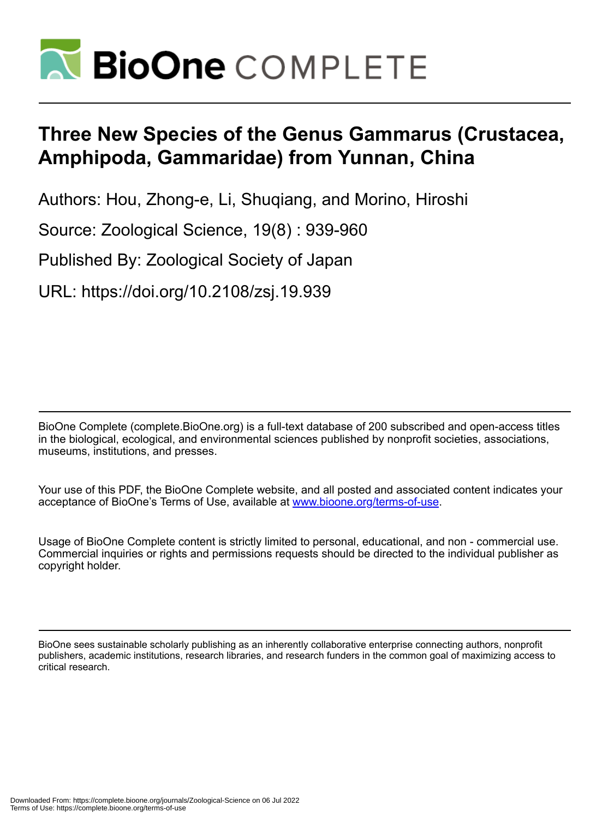

# **Three New Species of the Genus Gammarus (Crustacea, Amphipoda, Gammaridae) from Yunnan, China**

Authors: Hou, Zhong-e, Li, Shuqiang, and Morino, Hiroshi

Source: Zoological Science, 19(8) : 939-960

Published By: Zoological Society of Japan

URL: https://doi.org/10.2108/zsj.19.939

BioOne Complete (complete.BioOne.org) is a full-text database of 200 subscribed and open-access titles in the biological, ecological, and environmental sciences published by nonprofit societies, associations, museums, institutions, and presses.

Your use of this PDF, the BioOne Complete website, and all posted and associated content indicates your acceptance of BioOne's Terms of Use, available at www.bioone.org/terms-of-use.

Usage of BioOne Complete content is strictly limited to personal, educational, and non - commercial use. Commercial inquiries or rights and permissions requests should be directed to the individual publisher as copyright holder.

BioOne sees sustainable scholarly publishing as an inherently collaborative enterprise connecting authors, nonprofit publishers, academic institutions, research libraries, and research funders in the common goal of maximizing access to critical research.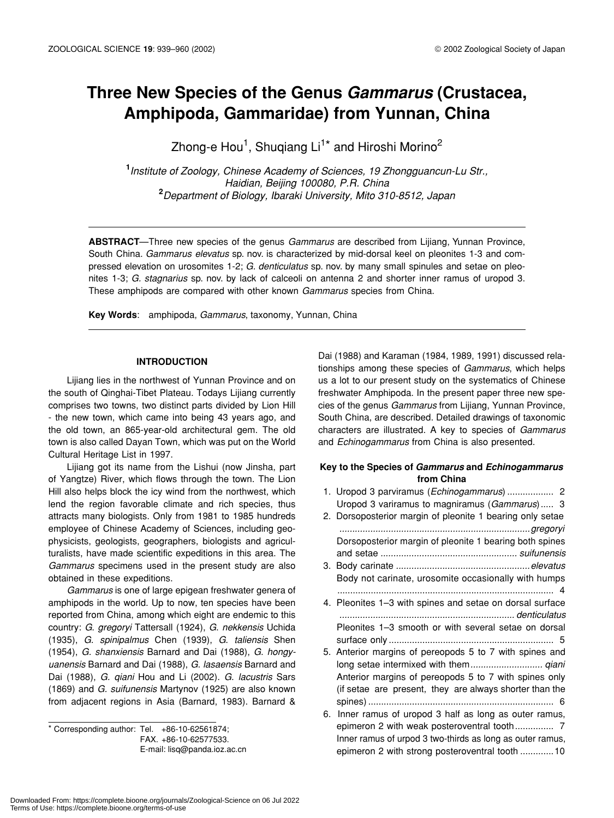# **Three New Species of the Genus** *Gammarus* **(Crustacea, Amphipoda, Gammaridae) from Yunnan, China**

Zhong-e Hou<sup>1</sup>, Shuqiang Li<sup>1\*</sup> and Hiroshi Morino<sup>2</sup>

**1** *Institute of Zoology, Chinese Academy of Sciences, 19 Zhongguancun-Lu Str., Haidian, Beijing 100080, P.R. China* **2** *Department of Biology, Ibaraki University, Mito 310-8512, Japan*

**ABSTRACT**—Three new species of the genus *Gammarus* are described from Lijiang, Yunnan Province, South China. *Gammarus elevatus* sp. nov. is characterized by mid-dorsal keel on pleonites 1-3 and compressed elevation on urosomites 1-2; *G. denticulatus* sp. nov. by many small spinules and setae on pleonites 1-3; *G. stagnarius* sp. nov. by lack of calceoli on antenna 2 and shorter inner ramus of uropod 3. These amphipods are compared with other known *Gammarus* species from China.

**Key Words**: amphipoda, *Gammarus*, taxonomy, Yunnan, China

# **INTRODUCTION**

Lijiang lies in the northwest of Yunnan Province and on the south of Qinghai-Tibet Plateau. Todays Lijiang currently comprises two towns, two distinct parts divided by Lion Hill - the new town, which came into being 43 years ago, and the old town, an 865-year-old architectural gem. The old town is also called Dayan Town, which was put on the World Cultural Heritage List in 1997.

Lijiang got its name from the Lishui (now Jinsha, part of Yangtze) River, which flows through the town. The Lion Hill also helps block the icy wind from the northwest, which lend the region favorable climate and rich species, thus attracts many biologists. Only from 1981 to 1985 hundreds employee of Chinese Academy of Sciences, including geophysicists, geologists, geographers, biologists and agriculturalists, have made scientific expeditions in this area. The *Gammarus* specimens used in the present study are also obtained in these expeditions.

*Gammarus* is one of large epigean freshwater genera of amphipods in the world. Up to now, ten species have been reported from China, among which eight are endemic to this country: *G*. *gregoryi* Tattersall (1924), *G*. *nekkensis* Uchida (1935), *G*. *spinipalmus* Chen (1939), *G*. *taliensis* Shen (1954), *G. shanxiensis* Barnard and Dai (1988), *G*. *hongyuanensis* Barnard and Dai (1988), *G*. *lasaensis* Barnard and Dai (1988), *G. qiani* Hou and Li (2002). *G*. *lacustris* Sars (1869) and *G. suifunensis* Martynov (1925) are also known from adjacent regions in Asia (Barnard, 1983). Barnard &

\* Corresponding author: Tel. +86-10-62561874; FAX. +86-10-62577533. E-mail: lisq@panda.ioz.ac.cn

Dai (1988) and Karaman (1984, 1989, 1991) discussed relationships among these species of *Gammarus*, which helps us a lot to our present study on the systematics of Chinese freshwater Amphipoda. In the present paper three new species of the genus *Gammarus* from Lijiang, Yunnan Province, South China, are described. Detailed drawings of taxonomic characters are illustrated. A key to species of *Gammarus* and *Echinogammarus* from China is also presented.

# **Key to the Species of** *Gammarus* **and** *Echinogammarus* **from China**

|    | Uropod 3 variramus to magniramus (Gammarus) 3             |  |
|----|-----------------------------------------------------------|--|
|    | 2. Dorsoposterior margin of pleonite 1 bearing only setae |  |
|    |                                                           |  |
|    | Dorsoposterior margin of pleonite 1 bearing both spines   |  |
|    |                                                           |  |
|    |                                                           |  |
|    | Body not carinate, urosomite occasionally with humps      |  |
|    |                                                           |  |
|    | 4. Pleonites 1-3 with spines and setae on dorsal surface  |  |
|    |                                                           |  |
|    | Pleonites 1-3 smooth or with several setae on dorsal      |  |
|    |                                                           |  |
|    | 5. Anterior margins of pereopods 5 to 7 with spines and   |  |
|    |                                                           |  |
|    | Anterior margins of pereopods 5 to 7 with spines only     |  |
|    | (if setae are present, they are always shorter than the   |  |
|    |                                                           |  |
| 6. | Inner ramus of uropod 3 half as long as outer ramus,      |  |
|    | epimeron 2 with weak posteroventral tooth 7               |  |
|    | Inner ramus of urpod 3 two-thirds as long as outer ramus, |  |
|    | epimeron 2 with strong posteroventral tooth  10           |  |
|    |                                                           |  |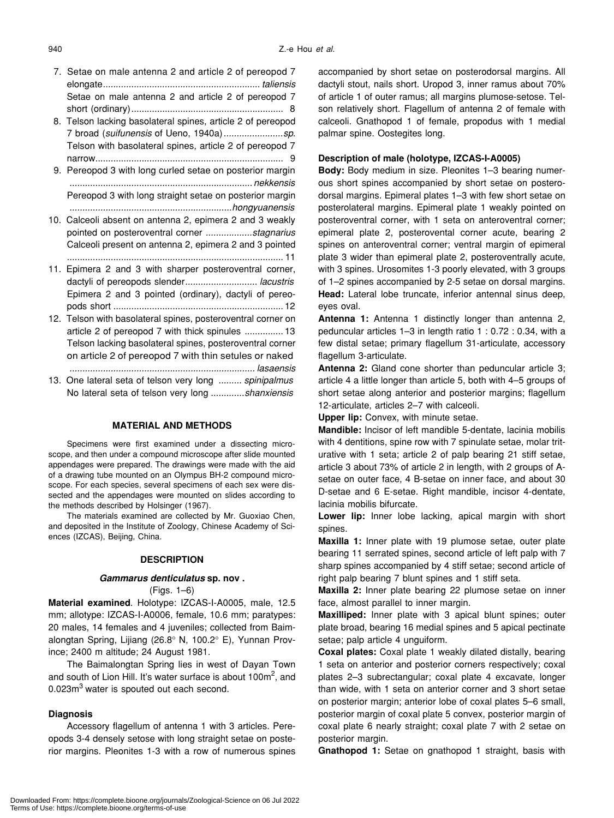- 7. Setae on male antenna 2 and article 2 of pereopod 7 elongate*............................................................. taliensis* Setae on male antenna 2 and article 2 of pereopod 7 short (ordinary)........................................................... 8
- 8. Telson lacking basolateral spines, article 2 of pereopod 7 broad (*suifunensis* of Ueno, 1940a)*.......................sp*. Telson with basolateral spines, article 2 of pereopod 7 narrow......................................................................... 9
- 9. Pereopod 3 with long curled setae on posterior margin *....................................................................... nekkensis* Pereopod 3 with long straight setae on posterior margin *...............................................................hongyuanensis*
- 10. Calceoli absent on antenna 2, epimera 2 and 3 weakly pointed on posteroventral corner *..................stagnarius* Calceoli present on antenna 2, epimera 2 and 3 pointed .................................................................................... 11
- 11. Epimera 2 and 3 with sharper posteroventral corner, dactyli of pereopods slender*............................ lacustris* Epimera 2 and 3 pointed (ordinary), dactyli of pereopods short .................................................................. 12
- 12. Telson with basolateral spines, posteroventral corner on article 2 of pereopod 7 with thick spinules ............... 13 Telson lacking basolateral spines, posteroventral corner on article 2 of pereopod 7 with thin setules or naked *........................................................................ lasaensis* 13. One lateral seta of telson very long *......... spinipalmus*

# **MATERIAL AND METHODS**

No lateral seta of telson very long *.............shanxiensis*

Specimens were first examined under a dissecting microscope, and then under a compound microscope after slide mounted appendages were prepared. The drawings were made with the aid of a drawing tube mounted on an Olympus BH-2 compound microscope. For each species, several specimens of each sex were dissected and the appendages were mounted on slides according to the methods described by Holsinger (1967).

The materials examined are collected by Mr. Guoxiao Chen, and deposited in the Institute of Zoology, Chinese Academy of Sciences (IZCAS), Beijing, China.

#### **DESCRIPTION**

#### *Gammarus denticulatus* **sp. nov .**

(Figs. 1–6)

**Material examined**. Holotype: IZCAS-I-A0005, male, 12.5 mm; allotype: IZCAS-I-A0006, female, 10.6 mm; paratypes: 20 males, 14 females and 4 juveniles; collected from Baimalongtan Spring, Lijiang (26.8° N, 100.2° E), Yunnan Province; 2400 m altitude; 24 August 1981.

The Baimalongtan Spring lies in west of Dayan Town and south of Lion Hill. It's water surface is about 100 $m^2$ , and 0.023m<sup>3</sup> water is spouted out each second.

# **Diagnosis**

Accessory flagellum of antenna 1 with 3 articles. Pereopods 3-4 densely setose with long straight setae on posterior margins. Pleonites 1-3 with a row of numerous spines accompanied by short setae on posterodorsal margins. All dactyli stout, nails short. Uropod 3, inner ramus about 70% of article 1 of outer ramus; all margins plumose-setose. Telson relatively short. Flagellum of antenna 2 of female with calceoli. Gnathopod 1 of female, propodus with 1 medial palmar spine. Oostegites long.

# **Description of male (holotype, IZCAS-I-A0005)**

**Body:** Body medium in size. Pleonites 1–3 bearing numerous short spines accompanied by short setae on posterodorsal margins. Epimeral plates 1–3 with few short setae on posterolateral margins. Epimeral plate 1 weakly pointed on posteroventral corner, with 1 seta on anteroventral corner; epimeral plate 2, posterovental corner acute, bearing 2 spines on anteroventral corner; ventral margin of epimeral plate 3 wider than epimeral plate 2, posteroventrally acute, with 3 spines. Urosomites 1-3 poorly elevated, with 3 groups of 1–2 spines accompanied by 2-5 setae on dorsal margins. **Head:** Lateral lobe truncate, inferior antennal sinus deep, eyes oval.

**Antenna 1:** Antenna 1 distinctly longer than antenna 2, peduncular articles 1–3 in length ratio 1 : 0.72 : 0.34, with a few distal setae; primary flagellum 31-articulate, accessory flagellum 3-articulate.

**Antenna 2:** Gland cone shorter than peduncular article 3; article 4 a little longer than article 5, both with 4–5 groups of short setae along anterior and posterior margins; flagellum 12-articulate, articles 2–7 with calceoli.

**Upper lip:** Convex, with minute setae.

**Mandible:** Incisor of left mandible 5-dentate, lacinia mobilis with 4 dentitions, spine row with 7 spinulate setae, molar triturative with 1 seta; article 2 of palp bearing 21 stiff setae, article 3 about 73% of article 2 in length, with 2 groups of Asetae on outer face, 4 B-setae on inner face, and about 30 D-setae and 6 E-setae. Right mandible, incisor 4-dentate, lacinia mobilis bifurcate.

**Lower lip:** Inner lobe lacking, apical margin with short spines.

**Maxilla 1:** Inner plate with 19 plumose setae, outer plate bearing 11 serrated spines, second article of left palp with 7 sharp spines accompanied by 4 stiff setae; second article of right palp bearing 7 blunt spines and 1 stiff seta.

**Maxilla 2:** Inner plate bearing 22 plumose setae on inner face, almost parallel to inner margin.

**Maxilliped:** Inner plate with 3 apical blunt spines; outer plate broad, bearing 16 medial spines and 5 apical pectinate setae; palp article 4 unguiform.

**Coxal plates:** Coxal plate 1 weakly dilated distally, bearing 1 seta on anterior and posterior corners respectively; coxal plates 2–3 subrectangular; coxal plate 4 excavate, longer than wide, with 1 seta on anterior corner and 3 short setae on posterior margin; anterior lobe of coxal plates 5–6 small, posterior margin of coxal plate 5 convex, posterior margin of coxal plate 6 nearly straight; coxal plate 7 with 2 setae on posterior margin.

**Gnathopod 1:** Setae on gnathopod 1 straight, basis with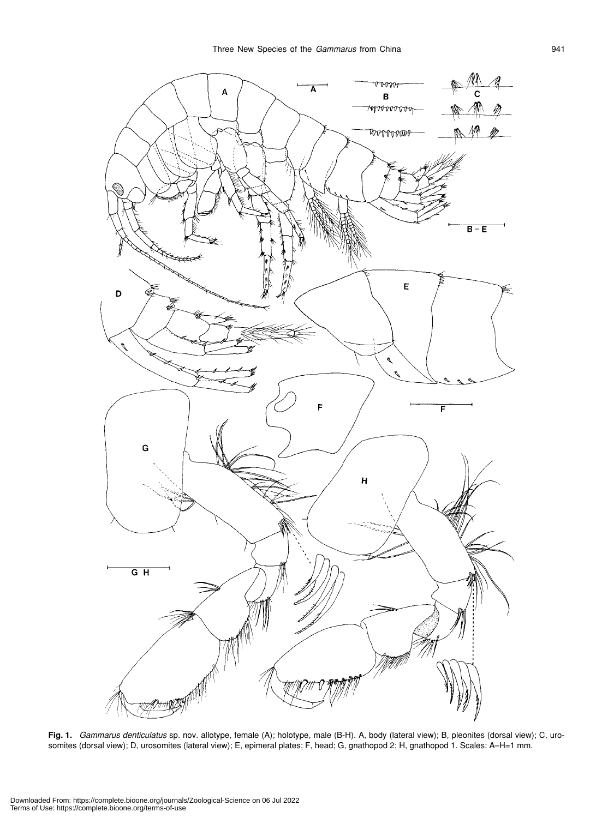

**Fig. 1.** *Gammarus denticulatus* sp. nov. allotype, female (A); holotype, male (B-H). A, body (lateral view); B, pleonites (dorsal view); C, urosomites (dorsal view); D, urosomites (lateral view); E, epimeral plates; F, head; G, gnathopod 2; H, gnathopod 1. Scales: A–H=1 mm.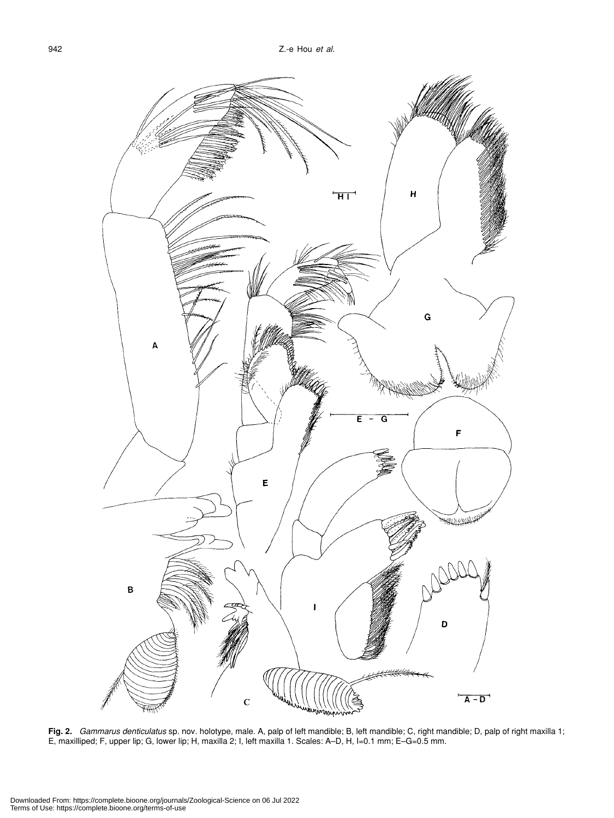

**Fig. 2.** *Gammarus denticulatus* sp. nov. holotype, male. A, palp of left mandible; B, left mandible; C, right mandible; D, palp of right maxilla 1; E, maxilliped; F, upper lip; G, lower lip; H, maxilla 2; I, left maxilla 1. Scales: A–D, H, I=0.1 mm; E–G=0.5 mm.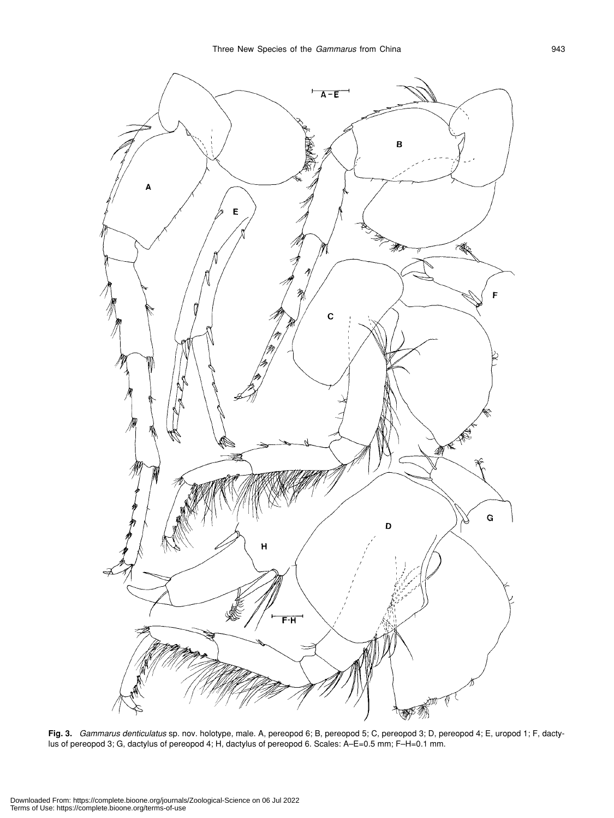

**Fig. 3.** *Gammarus denticulatus* sp. nov. holotype, male. A, pereopod 6; B, pereopod 5; C, pereopod 3; D, pereopod 4; E, uropod 1; F, dactylus of pereopod 3; G, dactylus of pereopod 4; H, dactylus of pereopod 6. Scales: A–E=0.5 mm; F–H=0.1 mm.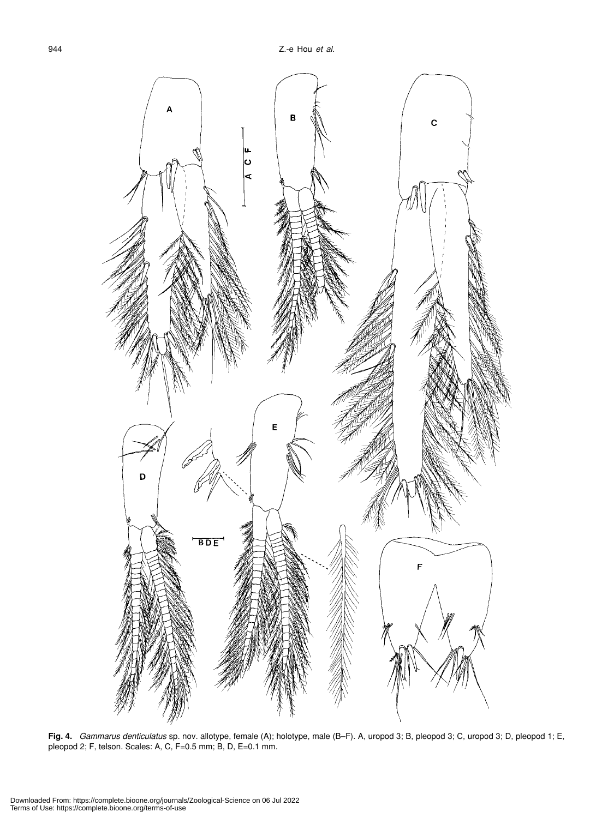

**Fig. 4.** *Gammarus denticulatus* sp. nov. allotype, female (A); holotype, male (B–F). A, uropod 3; B, pleopod 3; C, uropod 3; D, pleopod 1; E, pleopod 2; F, telson. Scales: A, C, F=0.5 mm; B, D, E=0.1 mm.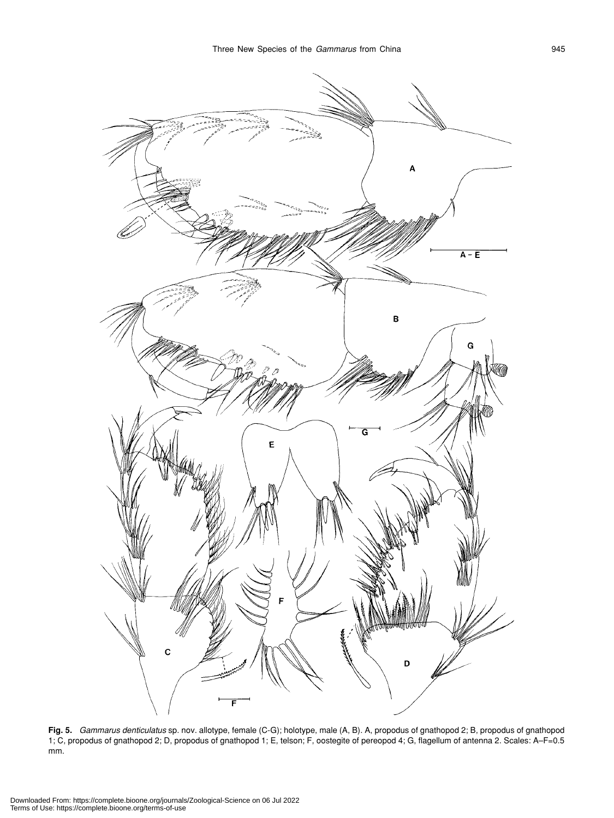

**Fig. 5.** *Gammarus denticulatus* sp. nov. allotype, female (C-G); holotype, male (A, B). A, propodus of gnathopod 2; B, propodus of gnathopod 1; C, propodus of gnathopod 2; D, propodus of gnathopod 1; E, telson; F, oostegite of pereopod 4; G, flagellum of antenna 2. Scales: A–F=0.5 mm.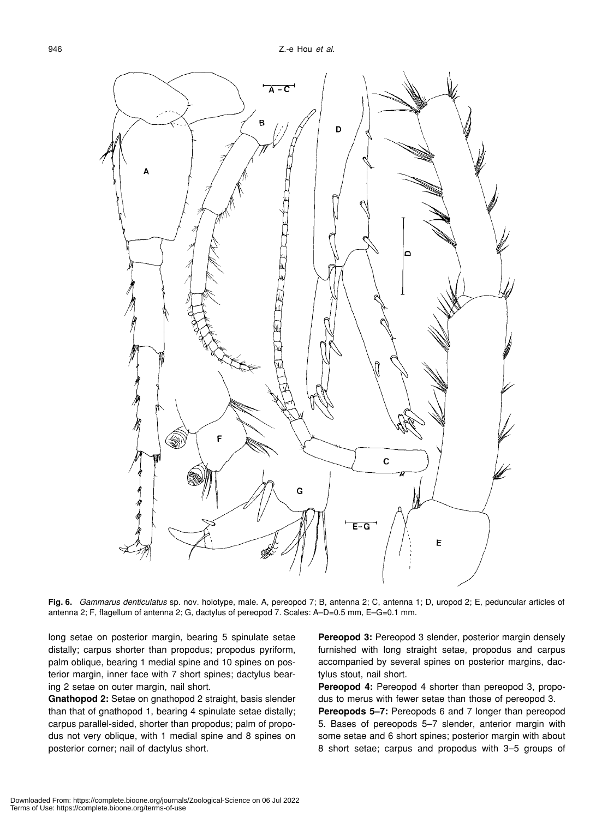

**Fig. 6.** *Gammarus denticulatus* sp. nov. holotype, male. A, pereopod 7; B, antenna 2; C, antenna 1; D, uropod 2; E, peduncular articles of antenna 2; F, flagellum of antenna 2; G, dactylus of pereopod 7. Scales: A-D=0.5 mm, E-G=0.1 mm.

long setae on posterior margin, bearing 5 spinulate setae distally; carpus shorter than propodus; propodus pyriform, palm oblique, bearing 1 medial spine and 10 spines on posterior margin, inner face with 7 short spines; dactylus bearing 2 setae on outer margin, nail short.

**Gnathopod 2:** Setae on gnathopod 2 straight, basis slender than that of gnathopod 1, bearing 4 spinulate setae distally; carpus parallel-sided, shorter than propodus; palm of propodus not very oblique, with 1 medial spine and 8 spines on posterior corner; nail of dactylus short.

**Pereopod 3:** Pereopod 3 slender, posterior margin densely furnished with long straight setae, propodus and carpus accompanied by several spines on posterior margins, dactylus stout, nail short.

**Pereopod 4:** Pereopod 4 shorter than pereopod 3, propodus to merus with fewer setae than those of pereopod 3.

**Pereopods 5–7:** Pereopods 6 and 7 longer than pereopod 5. Bases of pereopods 5–7 slender, anterior margin with some setae and 6 short spines; posterior margin with about 8 short setae; carpus and propodus with 3–5 groups of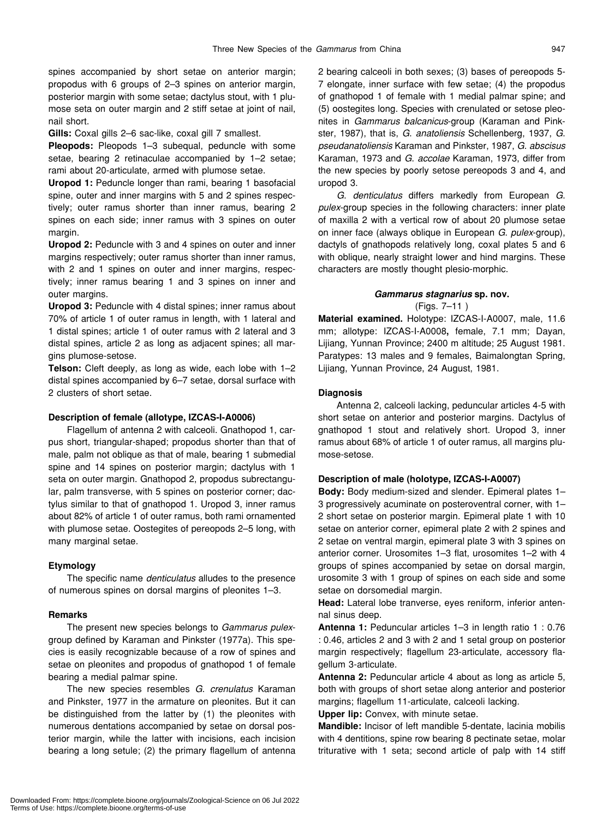spines accompanied by short setae on anterior margin; propodus with 6 groups of 2–3 spines on anterior margin, posterior margin with some setae; dactylus stout, with 1 plumose seta on outer margin and 2 stiff setae at joint of nail, nail short.

**Gills:** Coxal gills 2–6 sac-like, coxal gill 7 smallest.

**Pleopods:** Pleopods 1–3 subequal, peduncle with some setae, bearing 2 retinaculae accompanied by 1–2 setae; rami about 20-articulate, armed with plumose setae.

**Uropod 1:** Peduncle longer than rami, bearing 1 basofacial spine, outer and inner margins with 5 and 2 spines respectively; outer ramus shorter than inner ramus, bearing 2 spines on each side; inner ramus with 3 spines on outer margin.

**Uropod 2:** Peduncle with 3 and 4 spines on outer and inner margins respectively; outer ramus shorter than inner ramus, with 2 and 1 spines on outer and inner margins, respectively; inner ramus bearing 1 and 3 spines on inner and outer margins.

**Uropod 3:** Peduncle with 4 distal spines; inner ramus about 70% of article 1 of outer ramus in length, with 1 lateral and 1 distal spines; article 1 of outer ramus with 2 lateral and 3 distal spines, article 2 as long as adjacent spines; all margins plumose-setose.

**Telson:** Cleft deeply, as long as wide, each lobe with 1–2 distal spines accompanied by 6–7 setae, dorsal surface with 2 clusters of short setae.

#### **Description of female (allotype, IZCAS-I-A0006)**

Flagellum of antenna 2 with calceoli. Gnathopod 1, carpus short, triangular-shaped; propodus shorter than that of male, palm not oblique as that of male, bearing 1 submedial spine and 14 spines on posterior margin; dactylus with 1 seta on outer margin. Gnathopod 2, propodus subrectangular, palm transverse, with 5 spines on posterior corner; dactylus similar to that of gnathopod 1. Uropod 3, inner ramus about 82% of article 1 of outer ramus, both rami ornamented with plumose setae. Oostegites of pereopods 2–5 long, with many marginal setae.

# **Etymology**

The specific name *denticulatus* alludes to the presence of numerous spines on dorsal margins of pleonites 1–3.

#### **Remarks**

The present new species belongs to *Gammarus pulex*group defined by Karaman and Pinkster (1977a). This species is easily recognizable because of a row of spines and setae on pleonites and propodus of gnathopod 1 of female bearing a medial palmar spine.

The new species resembles *G*. *crenulatus* Karaman and Pinkster, 1977 in the armature on pleonites. But it can be distinguished from the latter by (1) the pleonites with numerous dentations accompanied by setae on dorsal posterior margin, while the latter with incisions, each incision bearing a long setule; (2) the primary flagellum of antenna

2 bearing calceoli in both sexes; (3) bases of pereopods 5- 7 elongate, inner surface with few setae; (4) the propodus of gnathopod 1 of female with 1 medial palmar spine; and (5) oostegites long. Species with crenulated or setose pleonites in *Gammarus balcanicus*-group (Karaman and Pinkster, 1987), that is, *G*. *anatoliensis* Schellenberg, 1937, *G*. *pseudanatoliensis* Karaman and Pinkster, 1987, *G*. *abscisus* Karaman, 1973 and *G*. *accolae* Karaman, 1973, differ from the new species by poorly setose pereopods 3 and 4, and uropod 3.

*G*. *denticulatus* differs markedly from European *G*. *pulex*-group species in the following characters: inner plate of maxilla 2 with a vertical row of about 20 plumose setae on inner face (always oblique in European *G*. *pulex*-group), dactyls of gnathopods relatively long, coxal plates 5 and 6 with oblique, nearly straight lower and hind margins. These characters are mostly thought plesio-morphic.

# *Gammarus stagnarius* **sp. nov.** (Figs. 7–11 )

**Material examined.** Holotype: IZCAS-I-A0007, male, 11.6 mm; allotype: IZCAS-I-A0008**,** female, 7.1 mm; Dayan, Lijiang, Yunnan Province; 2400 m altitude; 25 August 1981. Paratypes: 13 males and 9 females, Baimalongtan Spring, Lijiang, Yunnan Province, 24 August, 1981.

#### **Diagnosis**

Antenna 2, calceoli lacking, peduncular articles 4-5 with short setae on anterior and posterior margins. Dactylus of gnathopod 1 stout and relatively short. Uropod 3, inner ramus about 68% of article 1 of outer ramus, all margins plumose-setose.

# **Description of male (holotype, IZCAS-I-A0007)**

**Body:** Body medium-sized and slender. Epimeral plates 1– 3 progressively acuminate on posteroventral corner, with 1– 2 short setae on posterior margin. Epimeral plate 1 with 10 setae on anterior corner, epimeral plate 2 with 2 spines and 2 setae on ventral margin, epimeral plate 3 with 3 spines on anterior corner. Urosomites 1–3 flat, urosomites 1–2 with 4 groups of spines accompanied by setae on dorsal margin, urosomite 3 with 1 group of spines on each side and some setae on dorsomedial margin.

**Head:** Lateral lobe tranverse, eyes reniform, inferior antennal sinus deep.

**Antenna 1:** Peduncular articles 1–3 in length ratio 1 : 0.76 : 0.46, articles 2 and 3 with 2 and 1 setal group on posterior margin respectively; flagellum 23-articulate, accessory flagellum 3-articulate.

**Antenna 2:** Peduncular article 4 about as long as article 5, both with groups of short setae along anterior and posterior margins; flagellum 11-articulate, calceoli lacking.

**Upper lip:** Convex, with minute setae.

**Mandible:** Incisor of left mandible 5-dentate, lacinia mobilis with 4 dentitions, spine row bearing 8 pectinate setae, molar triturative with 1 seta; second article of palp with 14 stiff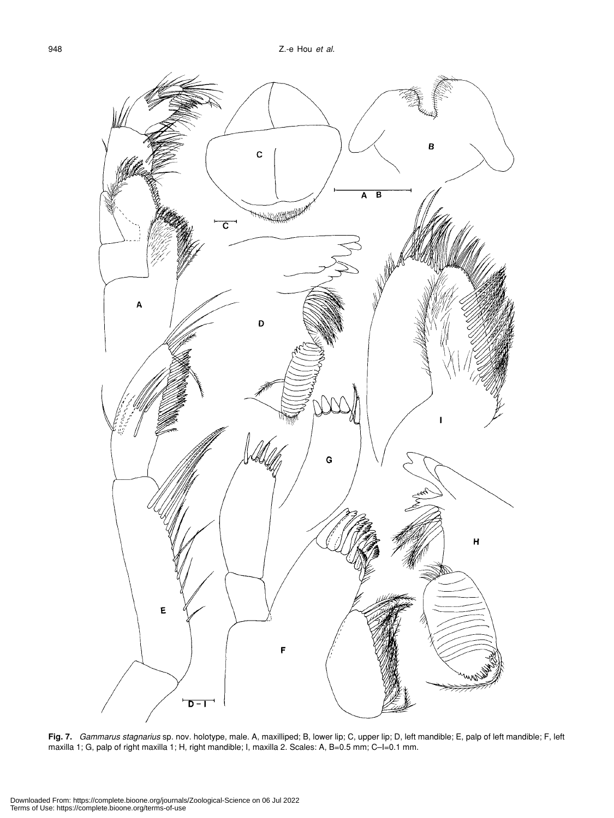

**Fig. 7.** *Gammarus stagnarius* sp. nov. holotype, male. A, maxilliped; B, lower lip; C, upper lip; D, left mandible; E, palp of left mandible; F, left maxilla 1; G, palp of right maxilla 1; H, right mandible; I, maxilla 2. Scales: A, B=0.5 mm; C–I=0.1 mm.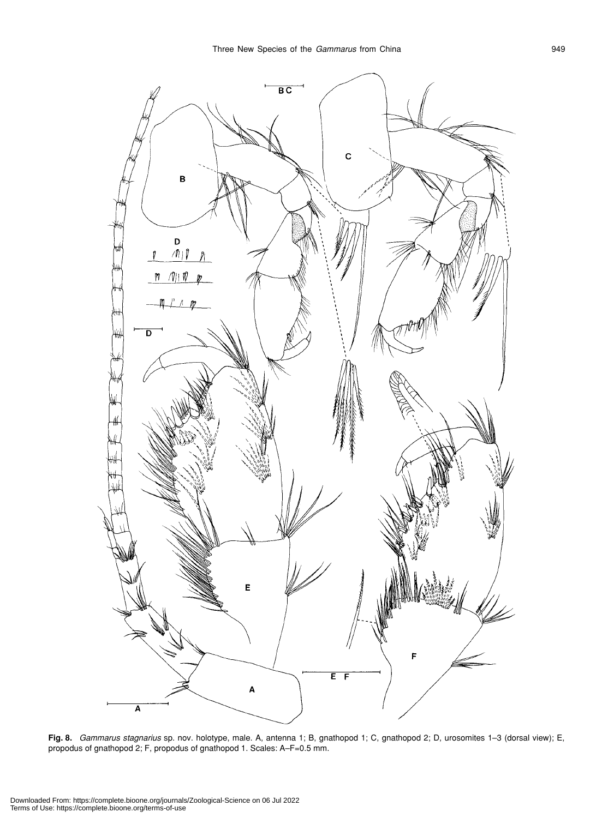

**Fig. 8.** *Gammarus stagnarius* sp. nov. holotype, male. A, antenna 1; B, gnathopod 1; C, gnathopod 2; D, urosomites 1–3 (dorsal view); E, propodus of gnathopod 2; F, propodus of gnathopod 1. Scales: A–F=0.5 mm.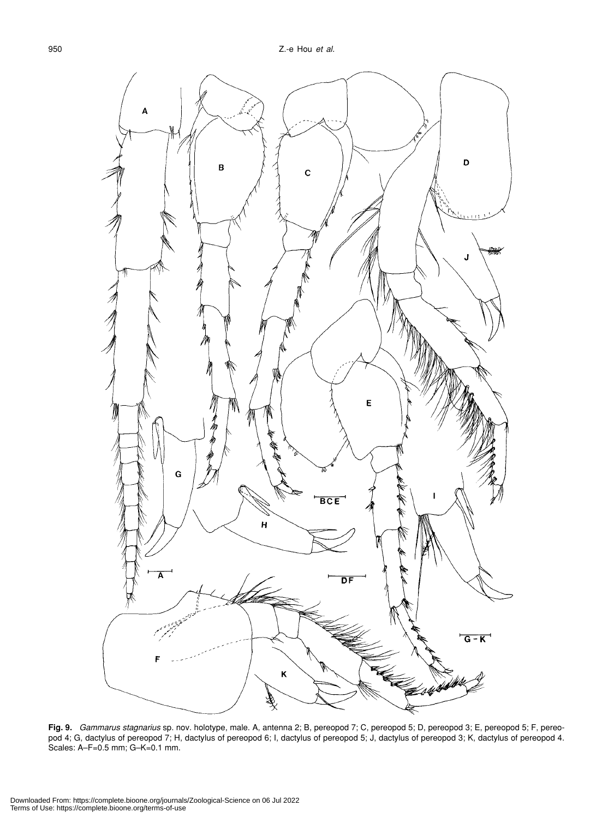

**Fig. 9.** *Gammarus stagnarius* sp. nov. holotype, male. A, antenna 2; B, pereopod 7; C, pereopod 5; D, pereopod 3; E, pereopod 5; F, pereopod 4; G, dactylus of pereopod 7; H, dactylus of pereopod 6; I, dactylus of pereopod 5; J, dactylus of pereopod 3; K, dactylus of pereopod 4. Scales: A–F=0.5 mm; G–K=0.1 mm.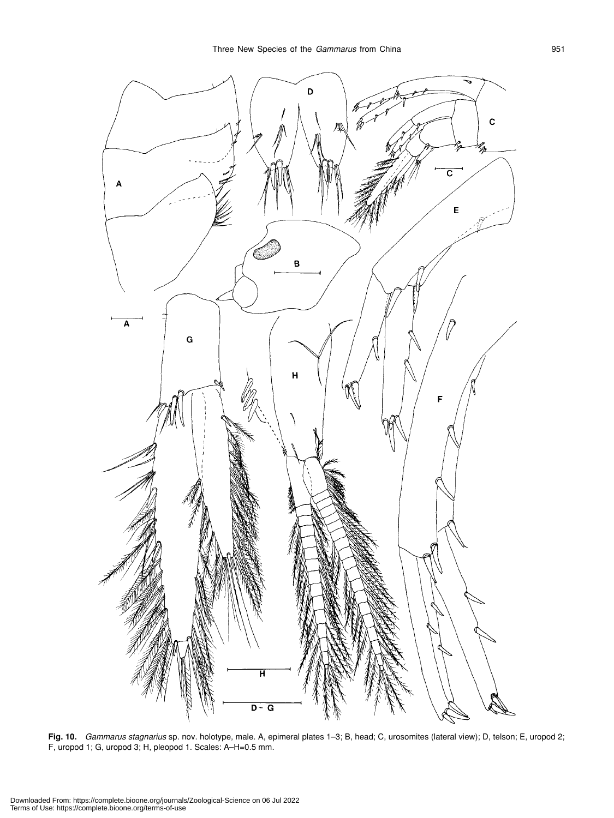

**Fig. 10.** *Gammarus stagnarius* sp. nov. holotype, male. A, epimeral plates 1–3; B, head; C, urosomites (lateral view); D, telson; E, uropod 2; F, uropod 1; G, uropod 3; H, pleopod 1. Scales: A–H=0.5 mm.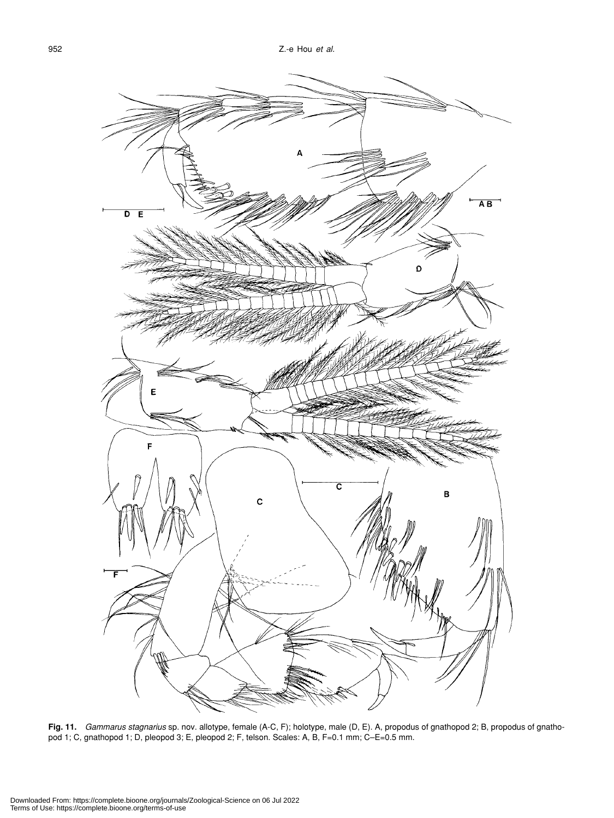

**Fig. 11.** *Gammarus stagnarius* sp. nov. allotype, female (A-C, F); holotype, male (D, E). A, propodus of gnathopod 2; B, propodus of gnathopod 1; C, gnathopod 1; D, pleopod 3; E, pleopod 2; F, telson. Scales: A, B, F=0.1 mm; C–E=0.5 mm.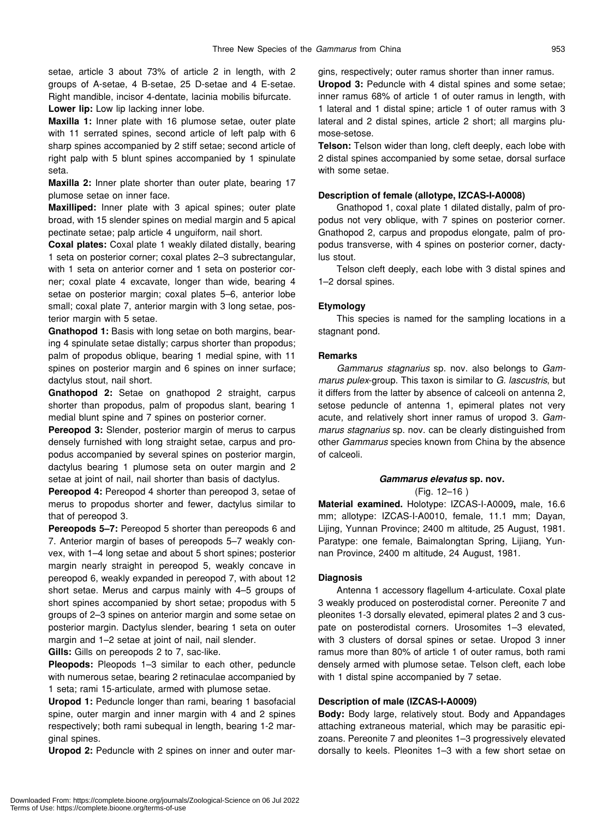setae, article 3 about 73% of article 2 in length, with 2 groups of A-setae, 4 B-setae, 25 D-setae and 4 E-setae. Right mandible, incisor 4-dentate, lacinia mobilis bifurcate.

**Lower lip:** Low lip lacking inner lobe.

**Maxilla 1:** Inner plate with 16 plumose setae, outer plate with 11 serrated spines, second article of left palp with 6 sharp spines accompanied by 2 stiff setae; second article of right palp with 5 blunt spines accompanied by 1 spinulate seta.

**Maxilla 2:** Inner plate shorter than outer plate, bearing 17 plumose setae on inner face.

**Maxilliped:** Inner plate with 3 apical spines; outer plate broad, with 15 slender spines on medial margin and 5 apical pectinate setae; palp article 4 unguiform, nail short.

**Coxal plates:** Coxal plate 1 weakly dilated distally, bearing 1 seta on posterior corner; coxal plates 2–3 subrectangular, with 1 seta on anterior corner and 1 seta on posterior corner; coxal plate 4 excavate, longer than wide, bearing 4 setae on posterior margin; coxal plates 5–6, anterior lobe small; coxal plate 7, anterior margin with 3 long setae, posterior margin with 5 setae.

**Gnathopod 1:** Basis with long setae on both margins, bearing 4 spinulate setae distally; carpus shorter than propodus; palm of propodus oblique, bearing 1 medial spine, with 11 spines on posterior margin and 6 spines on inner surface; dactylus stout, nail short.

**Gnathopod 2:** Setae on gnathopod 2 straight, carpus shorter than propodus, palm of propodus slant, bearing 1 medial blunt spine and 7 spines on posterior corner.

**Pereopod 3:** Slender, posterior margin of merus to carpus densely furnished with long straight setae, carpus and propodus accompanied by several spines on posterior margin, dactylus bearing 1 plumose seta on outer margin and 2 setae at joint of nail, nail shorter than basis of dactylus.

**Pereopod 4:** Pereopod 4 shorter than pereopod 3, setae of merus to propodus shorter and fewer, dactylus similar to that of pereopod 3.

**Pereopods 5–7:** Pereopod 5 shorter than pereopods 6 and 7. Anterior margin of bases of pereopods 5–7 weakly convex, with 1–4 long setae and about 5 short spines; posterior margin nearly straight in pereopod 5, weakly concave in pereopod 6, weakly expanded in pereopod 7, with about 12 short setae. Merus and carpus mainly with 4–5 groups of short spines accompanied by short setae; propodus with 5 groups of 2–3 spines on anterior margin and some setae on posterior margin. Dactylus slender, bearing 1 seta on outer margin and 1–2 setae at joint of nail, nail slender.

**Gills:** Gills on pereopods 2 to 7, sac-like.

**Pleopods:** Pleopods 1–3 similar to each other, peduncle with numerous setae, bearing 2 retinaculae accompanied by 1 seta; rami 15-articulate, armed with plumose setae.

**Uropod 1:** Peduncle longer than rami, bearing 1 basofacial spine, outer margin and inner margin with 4 and 2 spines respectively; both rami subequal in length, bearing 1-2 marginal spines.

**Uropod 2:** Peduncle with 2 spines on inner and outer mar-

gins, respectively; outer ramus shorter than inner ramus.

**Uropod 3:** Peduncle with 4 distal spines and some setae; inner ramus 68% of article 1 of outer ramus in length, with 1 lateral and 1 distal spine; article 1 of outer ramus with 3 lateral and 2 distal spines, article 2 short; all margins plumose-setose.

**Telson:** Telson wider than long, cleft deeply, each lobe with 2 distal spines accompanied by some setae, dorsal surface with some setae.

#### **Description of female (allotype, IZCAS-I-A0008)**

Gnathopod 1, coxal plate 1 dilated distally, palm of propodus not very oblique, with 7 spines on posterior corner. Gnathopod 2, carpus and propodus elongate, palm of propodus transverse, with 4 spines on posterior corner, dactylus stout.

Telson cleft deeply, each lobe with 3 distal spines and 1–2 dorsal spines.

#### **Etymology**

This species is named for the sampling locations in a stagnant pond.

# **Remarks**

*Gammarus stagnarius* sp. nov. also belongs to *Gammarus pulex*-group. This taxon is similar to *G. lascustris*, but it differs from the latter by absence of calceoli on antenna 2, setose peduncle of antenna 1, epimeral plates not very acute, and relatively short inner ramus of uropod 3. *Gammarus stagnarius* sp. nov. can be clearly distinguished from other *Gammarus* species known from China by the absence of calceoli.

# *Gammarus elevatus* **sp. nov.**

(Fig. 12–16 )

**Material examined.** Holotype: IZCAS-I-A0009**,** male, 16.6 mm; allotype: IZCAS-I-A0010, female, 11.1 mm; Dayan, Lijing, Yunnan Province; 2400 m altitude, 25 August, 1981. Paratype: one female, Baimalongtan Spring, Lijiang, Yunnan Province, 2400 m altitude, 24 August, 1981.

# **Diagnosis**

Antenna 1 accessory flagellum 4-articulate. Coxal plate 3 weakly produced on posterodistal corner. Pereonite 7 and pleonites 1-3 dorsally elevated, epimeral plates 2 and 3 cuspate on posterodistal corners. Urosomites 1–3 elevated, with 3 clusters of dorsal spines or setae. Uropod 3 inner ramus more than 80% of article 1 of outer ramus, both rami densely armed with plumose setae. Telson cleft, each lobe with 1 distal spine accompanied by 7 setae.

# **Description of male (IZCAS-I-A0009)**

**Body:** Body large, relatively stout. Body and Appandages attaching extraneous material, which may be parasitic epizoans. Pereonite 7 and pleonites 1–3 progressively elevated dorsally to keels. Pleonites 1–3 with a few short setae on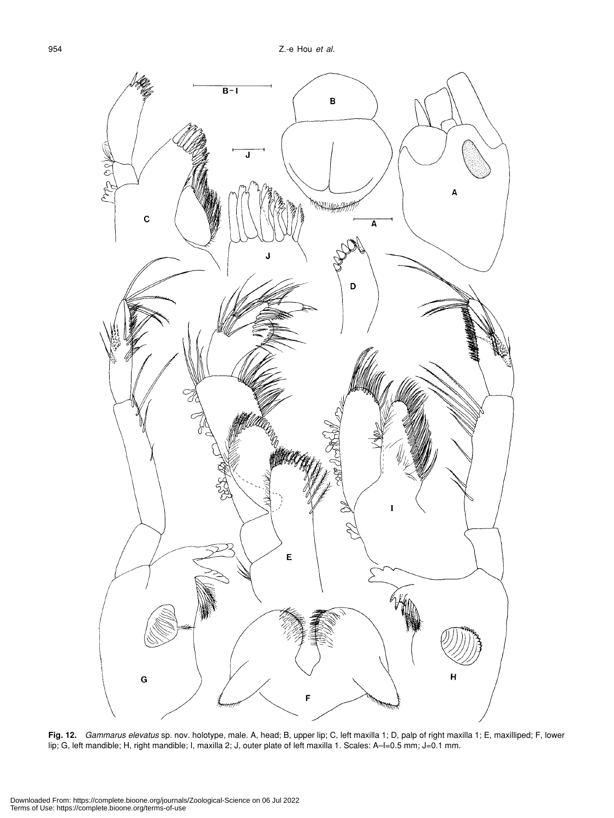

**Fig. 12.** *Gammarus elevatus* sp. nov. holotype, male. A, head; B, upper lip; C, left maxilla 1; D, palp of right maxilla 1; E, maxilliped; F, lower lip; G, left mandible; H, right mandible; I, maxilla 2; J, outer plate of left maxilla 1. Scales: A–I=0.5 mm; J=0.1 mm.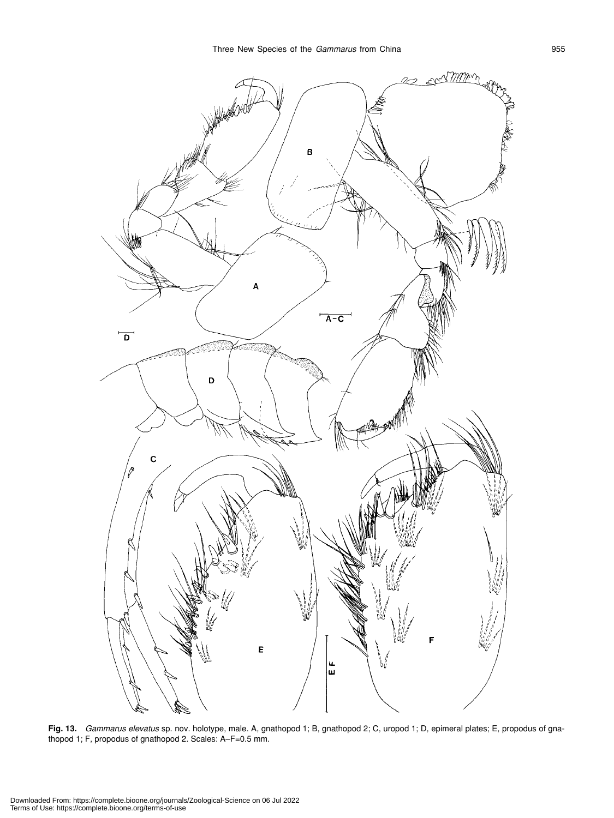

**Fig. 13.** *Gammarus elevatus* sp. nov. holotype, male. A, gnathopod 1; B, gnathopod 2; C, uropod 1; D, epimeral plates; E, propodus of gnathopod 1; F, propodus of gnathopod 2. Scales: A–F=0.5 mm.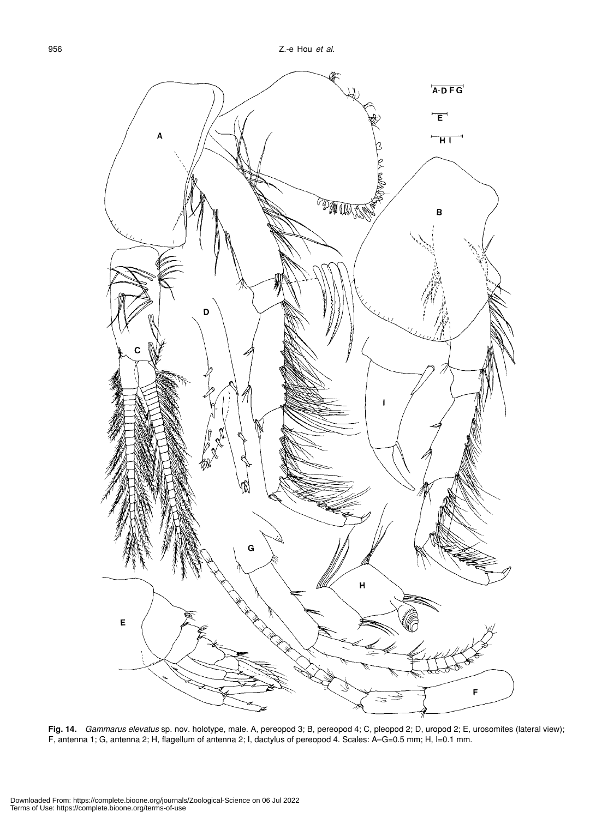

**Fig. 14.** *Gammarus elevatus* sp. nov. holotype, male. A, pereopod 3; B, pereopod 4; C, pleopod 2; D, uropod 2; E, urosomites (lateral view); F, antenna 1; G, antenna 2; H, flagellum of antenna 2; I, dactylus of pereopod 4. Scales: A–G=0.5 mm; H, I=0.1 mm.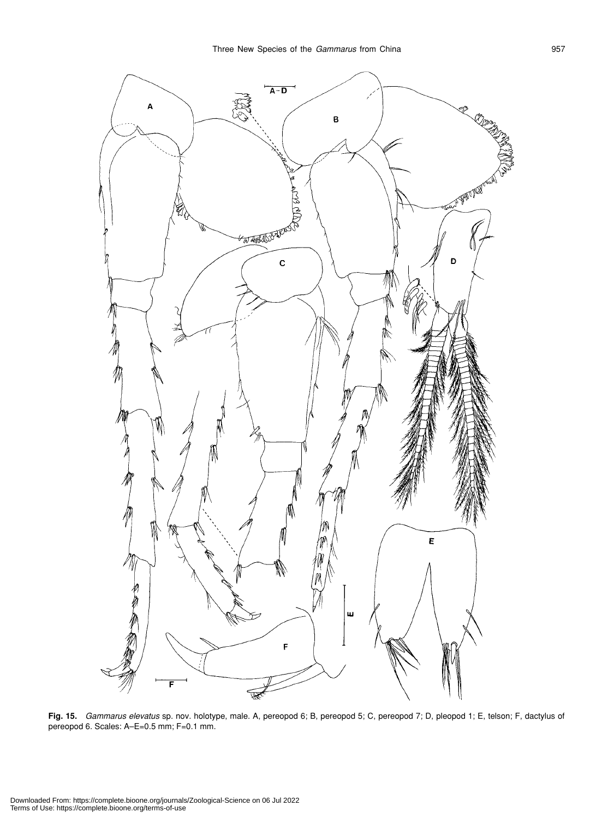

**Fig. 15.** *Gammarus elevatus* sp. nov. holotype, male. A, pereopod 6; B, pereopod 5; C, pereopod 7; D, pleopod 1; E, telson; F, dactylus of pereopod 6. Scales: A–E=0.5 mm; F=0.1 mm.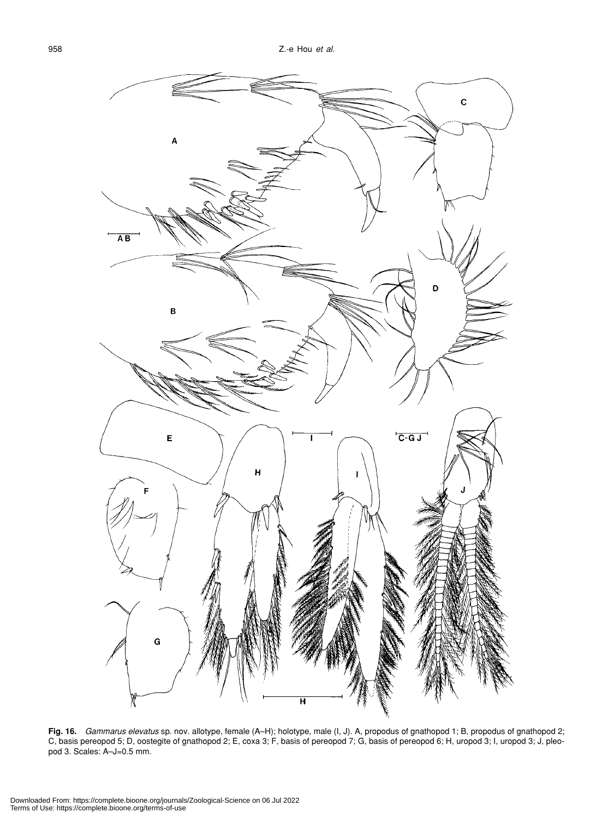

**Fig. 16.** *Gammarus elevatus* sp. nov. allotype, female (A–H); holotype, male (I, J). A, propodus of gnathopod 1; B, propodus of gnathopod 2; C, basis pereopod 5; D, oostegite of gnathopod 2; E, coxa 3; F, basis of pereopod 7; G, basis of pereopod 6; H, uropod 3; I, uropod 3; J, pleopod 3. Scales: A–J=0.5 mm.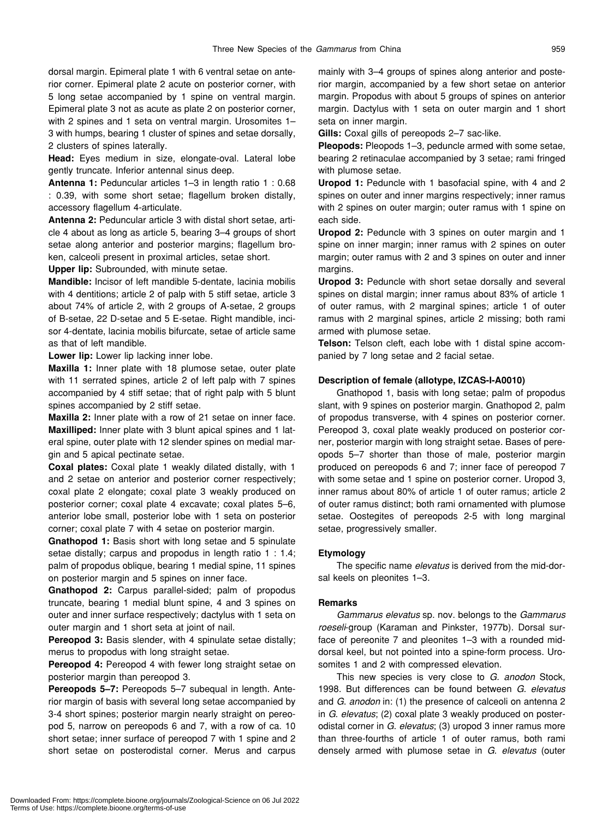dorsal margin. Epimeral plate 1 with 6 ventral setae on anterior corner. Epimeral plate 2 acute on posterior corner, with 5 long setae accompanied by 1 spine on ventral margin. Epimeral plate 3 not as acute as plate 2 on posterior corner, with 2 spines and 1 seta on ventral margin. Urosomites 1– 3 with humps, bearing 1 cluster of spines and setae dorsally, 2 clusters of spines laterally.

**Head:** Eyes medium in size, elongate-oval. Lateral lobe gently truncate. Inferior antennal sinus deep.

**Antenna 1:** Peduncular articles 1–3 in length ratio 1 : 0.68 : 0.39, with some short setae; flagellum broken distally, accessory flagellum 4-articulate.

**Antenna 2:** Peduncular article 3 with distal short setae, article 4 about as long as article 5, bearing 3–4 groups of short setae along anterior and posterior margins; flagellum broken, calceoli present in proximal articles, setae short.

**Upper lip:** Subrounded, with minute setae.

**Mandible:** Incisor of left mandible 5-dentate, lacinia mobilis with 4 dentitions; article 2 of palp with 5 stiff setae, article 3 about 74% of article 2, with 2 groups of A-setae, 2 groups of B-setae, 22 D-setae and 5 E-setae. Right mandible, incisor 4-dentate, lacinia mobilis bifurcate, setae of article same as that of left mandible.

**Lower lip:** Lower lip lacking inner lobe.

**Maxilla 1:** Inner plate with 18 plumose setae, outer plate with 11 serrated spines, article 2 of left palp with 7 spines accompanied by 4 stiff setae; that of right palp with 5 blunt spines accompanied by 2 stiff setae.

**Maxilla 2:** Inner plate with a row of 21 setae on inner face. **Maxilliped:** Inner plate with 3 blunt apical spines and 1 lateral spine, outer plate with 12 slender spines on medial margin and 5 apical pectinate setae.

**Coxal plates:** Coxal plate 1 weakly dilated distally, with 1 and 2 setae on anterior and posterior corner respectively; coxal plate 2 elongate; coxal plate 3 weakly produced on posterior corner; coxal plate 4 excavate; coxal plates 5–6, anterior lobe small, posterior lobe with 1 seta on posterior corner; coxal plate 7 with 4 setae on posterior margin.

**Gnathopod 1:** Basis short with long setae and 5 spinulate setae distally; carpus and propodus in length ratio 1 : 1.4; palm of propodus oblique, bearing 1 medial spine, 11 spines on posterior margin and 5 spines on inner face.

**Gnathopod 2:** Carpus parallel-sided; palm of propodus truncate, bearing 1 medial blunt spine, 4 and 3 spines on outer and inner surface respectively; dactylus with 1 seta on outer margin and 1 short seta at joint of nail.

**Pereopod 3:** Basis slender, with 4 spinulate setae distally; merus to propodus with long straight setae.

**Pereopod 4:** Pereopod 4 with fewer long straight setae on posterior margin than pereopod 3.

**Pereopods 5–7:** Pereopods 5–7 subequal in length. Anterior margin of basis with several long setae accompanied by 3-4 short spines; posterior margin nearly straight on pereopod 5, narrow on pereopods 6 and 7, with a row of ca. 10 short setae; inner surface of pereopod 7 with 1 spine and 2 short setae on posterodistal corner. Merus and carpus mainly with 3–4 groups of spines along anterior and posterior margin, accompanied by a few short setae on anterior margin. Propodus with about 5 groups of spines on anterior margin. Dactylus with 1 seta on outer margin and 1 short seta on inner margin.

**Gills:** Coxal gills of pereopods 2–7 sac-like.

**Pleopods:** Pleopods 1–3, peduncle armed with some setae, bearing 2 retinaculae accompanied by 3 setae; rami fringed with plumose setae.

**Uropod 1:** Peduncle with 1 basofacial spine, with 4 and 2 spines on outer and inner margins respectively; inner ramus with 2 spines on outer margin; outer ramus with 1 spine on each side.

**Uropod 2:** Peduncle with 3 spines on outer margin and 1 spine on inner margin; inner ramus with 2 spines on outer margin; outer ramus with 2 and 3 spines on outer and inner margins.

**Uropod 3:** Peduncle with short setae dorsally and several spines on distal margin; inner ramus about 83% of article 1 of outer ramus, with 2 marginal spines; article 1 of outer ramus with 2 marginal spines, article 2 missing; both rami armed with plumose setae.

**Telson:** Telson cleft, each lobe with 1 distal spine accompanied by 7 long setae and 2 facial setae.

#### **Description of female (allotype, IZCAS-I-A0010)**

Gnathopod 1, basis with long setae; palm of propodus slant, with 9 spines on posterior margin. Gnathopod 2, palm of propodus transverse, with 4 spines on posterior corner. Pereopod 3, coxal plate weakly produced on posterior corner, posterior margin with long straight setae. Bases of pereopods 5–7 shorter than those of male, posterior margin produced on pereopods 6 and 7; inner face of pereopod 7 with some setae and 1 spine on posterior corner. Uropod 3, inner ramus about 80% of article 1 of outer ramus; article 2 of outer ramus distinct; both rami ornamented with plumose setae. Oostegites of pereopods 2-5 with long marginal setae, progressively smaller.

# **Etymology**

The specific name *elevatus* is derived from the mid-dorsal keels on pleonites 1–3.

# **Remarks**

*Gammarus elevatus* sp. nov. belongs to the *Gammarus roeseli*-group (Karaman and Pinkster, 1977b). Dorsal surface of pereonite 7 and pleonites 1–3 with a rounded middorsal keel, but not pointed into a spine-form process. Urosomites 1 and 2 with compressed elevation.

This new species is very close to *G. anodon* Stock, 1998. But differences can be found between *G*. *elevatus* and *G*. *anodon* in: (1) the presence of calceoli on antenna 2 in *G*. *elevatus*; (2) coxal plate 3 weakly produced on posterodistal corner in *G*. *elevatus*; (3) uropod 3 inner ramus more than three-fourths of article 1 of outer ramus, both rami densely armed with plumose setae in *G*. *elevatus* (outer